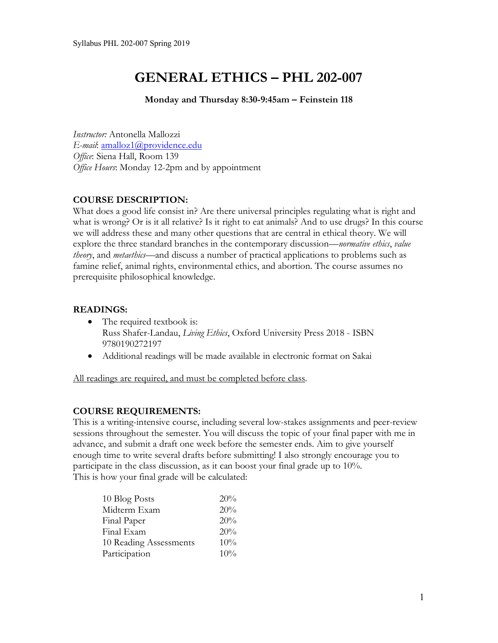# **GENERAL ETHICS – PHL 202-007**

**Monday and Thursday 8:30-9:45am – Feinstein 118**

*Instructor:* Antonella Mallozzi *E-mail*: amalloz1@providence.edu *Office*: Siena Hall, Room 139 *Office Hours*: Monday 12-2pm and by appointment

# **COURSE DESCRIPTION:**

What does a good life consist in? Are there universal principles regulating what is right and what is wrong? Or is it all relative? Is it right to eat animals? And to use drugs? In this course we will address these and many other questions that are central in ethical theory. We will explore the three standard branches in the contemporary discussion—*normative ethics*, *value theory*, and *metaethics*—and discuss a number of practical applications to problems such as famine relief, animal rights, environmental ethics, and abortion. The course assumes no prerequisite philosophical knowledge.

#### **READINGS:**

- The required textbook is: Russ Shafer-Landau, *Living Ethics*, Oxford University Press 2018 - ISBN 9780190272197
- Additional readings will be made available in electronic format on Sakai

All readings are required, and must be completed before class.

# **COURSE REQUIREMENTS:**

This is a writing-intensive course, including several low-stakes assignments and peer-review sessions throughout the semester. You will discuss the topic of your final paper with me in advance, and submit a draft one week before the semester ends. Aim to give yourself enough time to write several drafts before submitting! I also strongly encourage you to participate in the class discussion, as it can boost your final grade up to 10%. This is how your final grade will be calculated:

| 10 Blog Posts          | 20% |
|------------------------|-----|
| Midterm Exam           | 20% |
| Final Paper            | 20% |
| Final Exam             | 20% |
| 10 Reading Assessments | 10% |
| Participation          | 10% |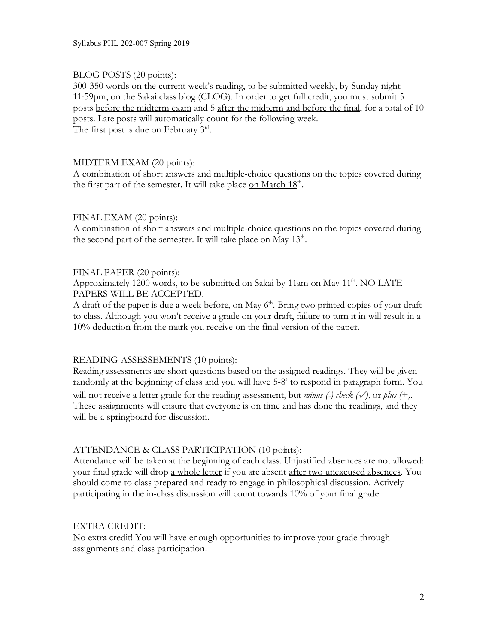Syllabus PHL 202-007 Spring 2019

#### BLOG POSTS (20 points):

300-350 words on the current week's reading, to be submitted weekly, by Sunday night  $11:59$ pm, on the Sakai class blog (CLOG). In order to get full credit, you must submit 5 posts before the midterm exam and 5 after the midterm and before the final, for a total of 10 posts. Late posts will automatically count for the following week. The first post is due on February  $3<sup>rd</sup>$ .

#### MIDTERM EXAM (20 points):

A combination of short answers and multiple-choice questions on the topics covered during the first part of the semester. It will take place on March 18<sup>th</sup>.

#### FINAL EXAM (20 points):

A combination of short answers and multiple-choice questions on the topics covered during the second part of the semester. It will take place on May  $13<sup>th</sup>$ .

#### FINAL PAPER (20 points):

Approximately 1200 words, to be submitted on Sakai by 11am on May 11<sup>th</sup>. NO LATE PAPERS WILL BE ACCEPTED.

A draft of the paper is due a week before, on May  $6<sup>th</sup>$ . Bring two printed copies of your draft to class. Although you won't receive a grade on your draft, failure to turn it in will result in a 10% deduction from the mark you receive on the final version of the paper.

#### READING ASSESSEMENTS (10 points):

Reading assessments are short questions based on the assigned readings. They will be given randomly at the beginning of class and you will have 5-8' to respond in paragraph form. You will not receive a letter grade for the reading assessment, but *minus (-) check (*✓*),* or *plus (+).* These assignments will ensure that everyone is on time and has done the readings, and they will be a springboard for discussion.

#### ATTENDANCE & CLASS PARTICIPATION (10 points):

Attendance will be taken at the beginning of each class. Unjustified absences are not allowed: your final grade will drop a whole letter if you are absent after two unexcused absences. You should come to class prepared and ready to engage in philosophical discussion. Actively participating in the in-class discussion will count towards 10% of your final grade.

#### EXTRA CREDIT:

No extra credit! You will have enough opportunities to improve your grade through assignments and class participation.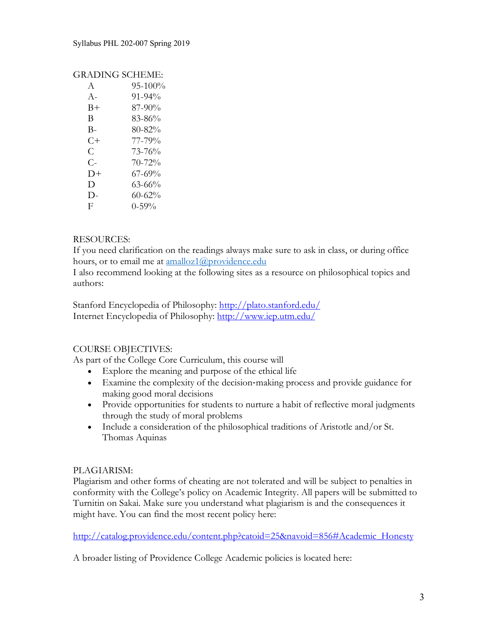## GRADING SCHEME:

| $\mathsf{A}$ | $95 - 100\%$ |
|--------------|--------------|
| $A -$        | $91 - 94\%$  |
| B+           | 87-90%       |
| В            | 83-86%       |
| B-           | 80-82%       |
| C+           | 77-79%       |
| C            | 73-76%       |
| $C_{\Xi}$    | 70-72%       |
| $1) +$       | $67 - 69\%$  |
| D            | 63-66%       |
| $\mathsf{D}$ | $60 - 62%$   |
| F            | $0 - 59\%$   |

# RESOURCES:

If you need clarification on the readings always make sure to ask in class, or during office hours, or to email me at amalloz1@providence.edu

I also recommend looking at the following sites as a resource on philosophical topics and authors:

Stanford Encyclopedia of Philosophy: http://plato.stanford.edu/ Internet Encyclopedia of Philosophy: http://www.iep.utm.edu/

# COURSE OBJECTIVES:

As part of the College Core Curriculum, this course will

- Explore the meaning and purpose of the ethical life
- Examine the complexity of the decision-making process and provide guidance for making good moral decisions
- Provide opportunities for students to nurture a habit of reflective moral judgments through the study of moral problems
- Include a consideration of the philosophical traditions of Aristotle and/or St. Thomas Aquinas

#### PLAGIARISM:

Plagiarism and other forms of cheating are not tolerated and will be subject to penalties in conformity with the College's policy on Academic Integrity. All papers will be submitted to Turnitin on Sakai. Make sure you understand what plagiarism is and the consequences it might have. You can find the most recent policy here:

http://catalog.providence.edu/content.php?catoid=25&navoid=856#Academic\_Honesty

A broader listing of Providence College Academic policies is located here: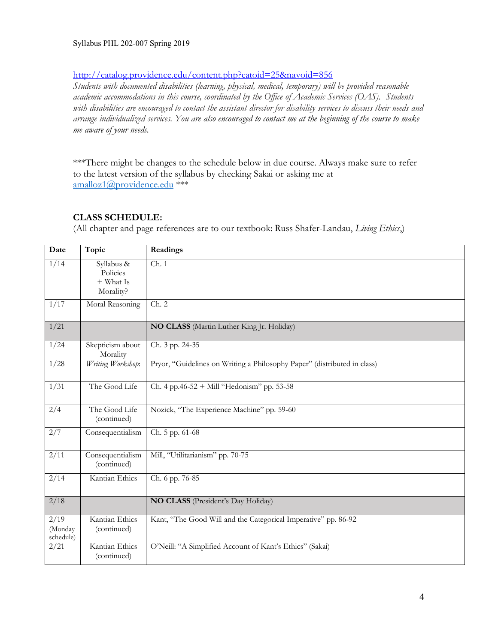#### Syllabus PHL 202-007 Spring 2019

## http://catalog.providence.edu/content.php?catoid=25&navoid=856

*Students with documented disabilities (learning, physical, medical, temporary) will be provided reasonable academic accommodations in this course, coordinated by the Office of Academic Services (OAS). Students with disabilities are encouraged to contact the assistant director for disability services to discuss their needs and arrange individualized services. You are also encouraged to contact me at the beginning of the course to make me aware of your needs.*

\*\*\*There might be changes to the schedule below in due course. Always make sure to refer to the latest version of the syllabus by checking Sakai or asking me at amalloz1@providence.edu \*\*\*

#### **CLASS SCHEDULE:**

(All chapter and page references are to our textbook: Russ Shafer-Landau, *Living Ethics*,)

| Date                         | Topic                                            | Readings                                                                 |
|------------------------------|--------------------------------------------------|--------------------------------------------------------------------------|
| 1/14                         | Syllabus &<br>Policies<br>+ What Is<br>Morality? | $\overline{Ch. 1}$                                                       |
| 1/17                         | Moral Reasoning                                  | Ch. 2                                                                    |
| 1/21                         |                                                  | NO CLASS (Martin Luther King Jr. Holiday)                                |
| 1/24                         | Skepticism about<br>Morality                     | Ch. 3 pp. 24-35                                                          |
| 1/28                         | Writing Workshop:                                | Pryor, "Guidelines on Writing a Philosophy Paper" (distributed in class) |
| 1/31                         | The Good Life                                    | Ch. 4 pp. 46-52 + Mill "Hedonism" pp. 53-58                              |
| 2/4                          | The Good Life<br>(continued)                     | Nozick, "The Experience Machine" pp. 59-60                               |
| 2/7                          | Consequentialism                                 | Ch. 5 pp. 61-68                                                          |
| 2/11                         | Consequentialism<br>(continued)                  | Mill, "Utilitarianism" pp. 70-75                                         |
| 2/14                         | Kantian Ethics                                   | Ch. 6 pp. 76-85                                                          |
| 2/18                         |                                                  | NO CLASS (President's Day Holiday)                                       |
| 2/19<br>(Monday<br>schedule) | Kantian Ethics<br>(continued)                    | Kant, "The Good Will and the Categorical Imperative" pp. 86-92           |
| 2/21                         | Kantian Ethics<br>(continued)                    | O'Neill: "A Simplified Account of Kant's Ethics" (Sakai)                 |